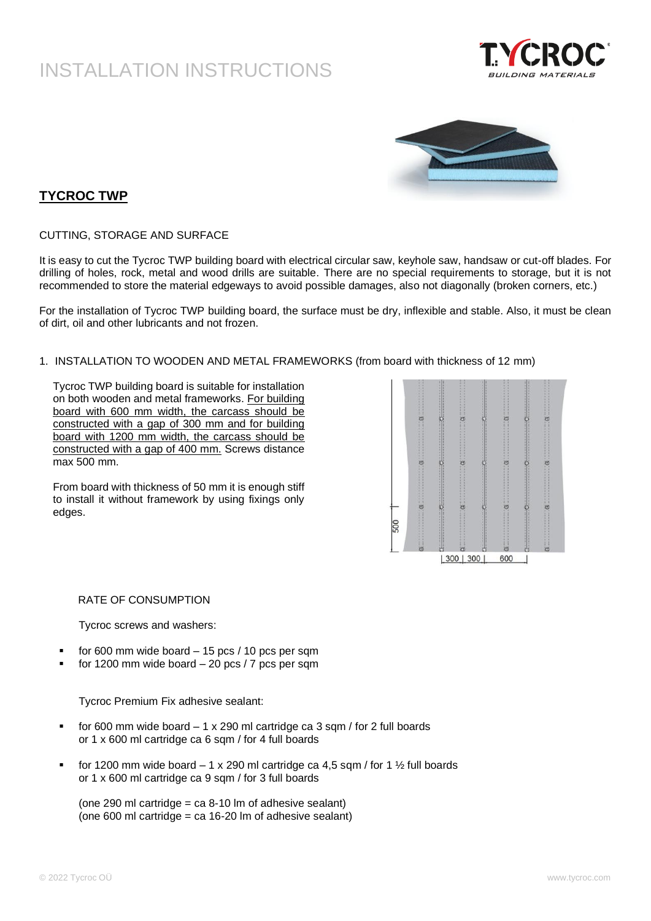



### **TYCROC TWP**

CUTTING, STORAGE AND SURFACE

It is easy to cut the Tycroc TWP building board with electrical circular saw, keyhole saw, handsaw or cut-off blades. For drilling of holes, rock, metal and wood drills are suitable. There are no special requirements to storage, but it is not recommended to store the material edgeways to avoid possible damages, also not diagonally (broken corners, etc.)

For the installation of Tycroc TWP building board, the surface must be dry, inflexible and stable. Also, it must be clean of dirt, oil and other lubricants and not frozen.

1. INSTALLATION TO WOODEN AND METAL FRAMEWORKS (from board with thickness of 12 mm)

Tycroc TWP building board is suitable for installation on both wooden and metal frameworks. For building board with 600 mm width, the carcass should be constructed with a gap of 300 mm and for building board with 1200 mm width, the carcass should be constructed with a gap of 400 mm. Screws distance max 500 mm.

From board with thickness of 50 mm it is enough stiff to install it without framework by using fixings only edges.



#### RATE OF CONSUMPTION

Tycroc screws and washers:

- for 600 mm wide board  $-$  15 pcs / 10 pcs per sqm
- for 1200 mm wide board  $-$  20 pcs  $/$  7 pcs per sqm

Tycroc Premium Fix adhesive sealant:

- for 600 mm wide board  $-1 \times 290$  ml cartridge ca 3 sqm / for 2 full boards or 1 x 600 ml cartridge ca 6 sqm / for 4 full boards
- for 1200 mm wide board  $-1 \times 290$  ml cartridge ca 4,5 sqm / for 1  $\frac{1}{2}$  full boards or 1 x 600 ml cartridge ca 9 sqm / for 3 full boards

(one 290 ml cartridge =  $ca 8-10$  lm of adhesive sealant) (one 600 ml cartridge  $=$  ca 16-20 lm of adhesive sealant)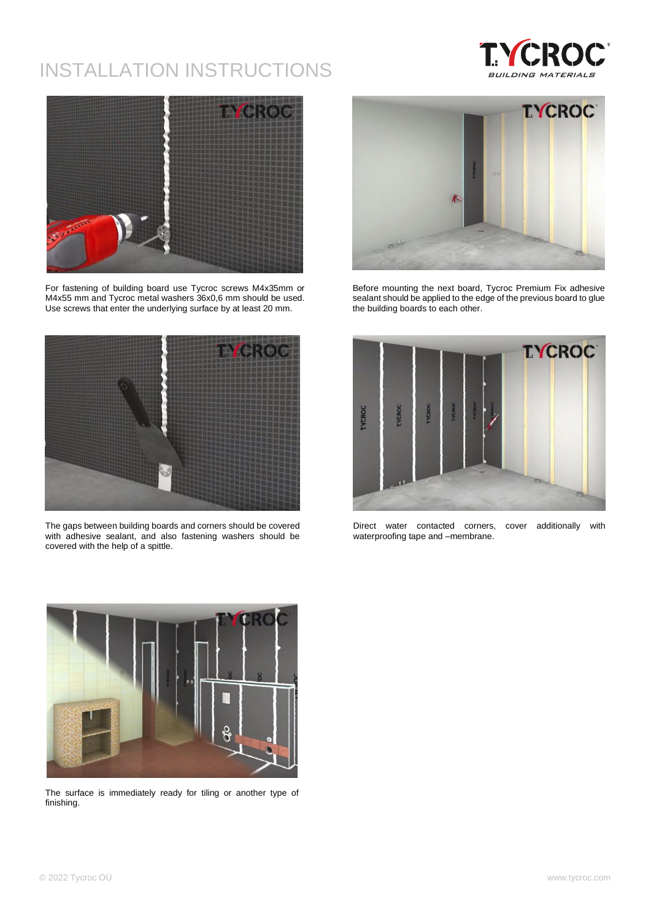



For fastening of building board use Tycroc screws M4x35mm or M4x55 mm and Tycroc metal washers 36x0,6 mm should be used. Use screws that enter the underlying surface by at least 20 mm.



The gaps between building boards and corners should be covered with adhesive sealant, and also fastening washers should be covered with the help of a spittle.



Before mounting the next board, Tycroc Premium Fix adhesive sealant should be applied to the edge of the previous board to glue the building boards to each other.



Direct water contacted corners, cover additionally with waterproofing tape and –membrane.



The surface is immediately ready for tiling or another type of finishing.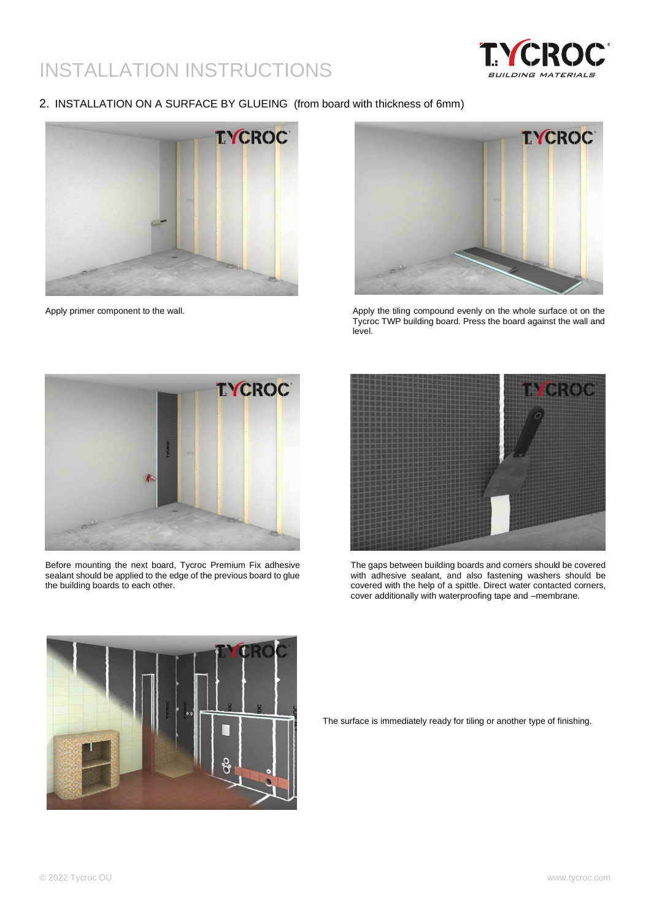

### 2. INSTALLATION ON A SURFACE BY GLUEING (from board with thickness of 6mm)





Apply primer component to the wall. Apply the tiling compound evenly on the whole surface ot on the Tycroc TWP building board. Press the board against the wall and level.



Before mounting the next board, Tycroc Premium Fix adhesive sealant should be applied to the edge of the previous board to glue the building boards to each other.



The gaps between building boards and corners should be covered with adhesive sealant, and also fastening washers should be covered with the help of a spittle. Direct water contacted corners, cover additionally with waterproofing tape and –membrane.



The surface is immediately ready for tiling or another type of finishing.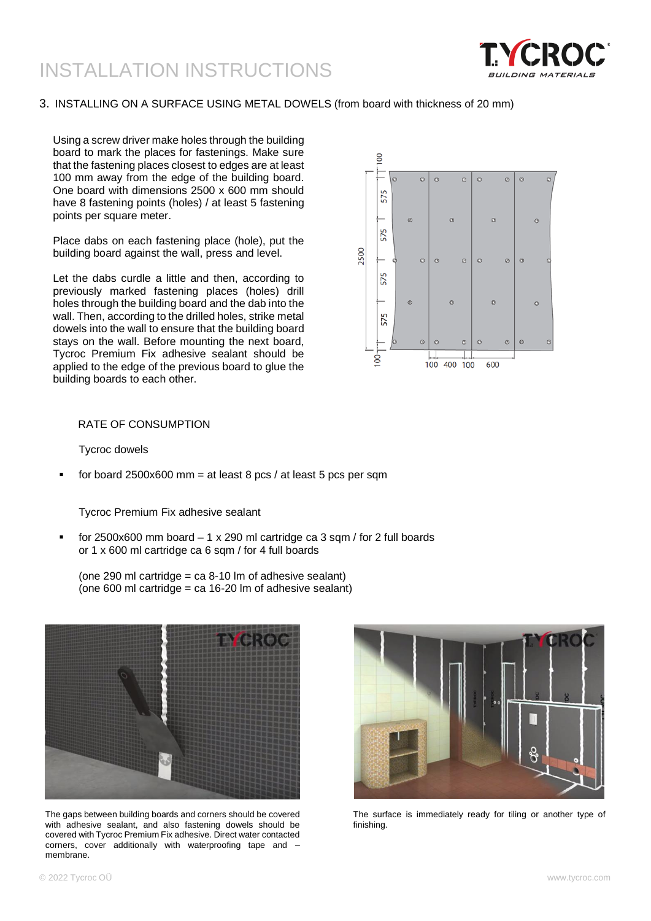

### 3. INSTALLING ON A SURFACE USING METAL DOWELS (from board with thickness of 20 mm)

Using a screw driver make holes through the building board to mark the places for fastenings. Make sure that the fastening places closest to edges are at least 100 mm away from the edge of the building board. One board with dimensions 2500 x 600 mm should have 8 fastening points (holes) / at least 5 fastening points per square meter.

Place dabs on each fastening place (hole), put the building board against the wall, press and level.

Let the dabs curdle a little and then, according to previously marked fastening places (holes) drill holes through the building board and the dab into the wall. Then, according to the drilled holes, strike metal dowels into the wall to ensure that the building board stays on the wall. Before mounting the next board, Tycroc Premium Fix adhesive sealant should be applied to the edge of the previous board to glue the building boards to each other.



### RATE OF CONSUMPTION

Tycroc dowels

for board 2500x600 mm = at least 8 pcs / at least 5 pcs per sqm

Tycroc Premium Fix adhesive sealant

for 2500x600 mm board  $-1 \times 290$  ml cartridge ca 3 sqm / for 2 full boards or 1 x 600 ml cartridge ca 6 sqm / for 4 full boards

(one 290 ml cartridge = ca 8-10 lm of adhesive sealant) (one 600 ml cartridge  $=$  ca 16-20 lm of adhesive sealant)



The gaps between building boards and corners should be covered with adhesive sealant, and also fastening dowels should be covered with Tycroc Premium Fix adhesive. Direct water contacted corners, cover additionally with waterproofing tape and  $$ membrane.



The surface is immediately ready for tiling or another type of finishing.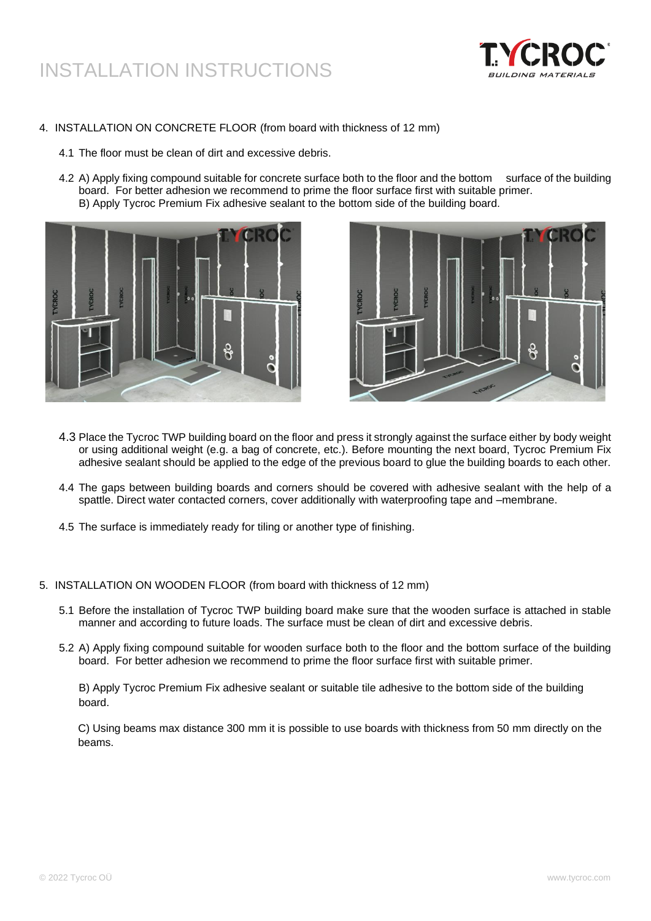

- 4. INSTALLATION ON CONCRETE FLOOR (from board with thickness of 12 mm)
	- 4.1 The floor must be clean of dirt and excessive debris.
	- 4.2 A) Apply fixing compound suitable for concrete surface both to the floor and the bottom surface of the building board. For better adhesion we recommend to prime the floor surface first with suitable primer. B) Apply Tycroc Premium Fix adhesive sealant to the bottom side of the building board.





- 4.3 Place the Tycroc TWP building board on the floor and press it strongly against the surface either by body weight or using additional weight (e.g. a bag of concrete, etc.). Before mounting the next board, Tycroc Premium Fix adhesive sealant should be applied to the edge of the previous board to glue the building boards to each other.
- 4.4 The gaps between building boards and corners should be covered with adhesive sealant with the help of a spattle. Direct water contacted corners, cover additionally with waterproofing tape and –membrane.
- 4.5 The surface is immediately ready for tiling or another type of finishing.
- 5. INSTALLATION ON WOODEN FLOOR (from board with thickness of 12 mm)
	- 5.1 Before the installation of Tycroc TWP building board make sure that the wooden surface is attached in stable manner and according to future loads. The surface must be clean of dirt and excessive debris.
	- 5.2 A) Apply fixing compound suitable for wooden surface both to the floor and the bottom surface of the building board. For better adhesion we recommend to prime the floor surface first with suitable primer.

B) Apply Tycroc Premium Fix adhesive sealant or suitable tile adhesive to the bottom side of the building board.

C) Using beams max distance 300 mm it is possible to use boards with thickness from 50 mm directly on the beams.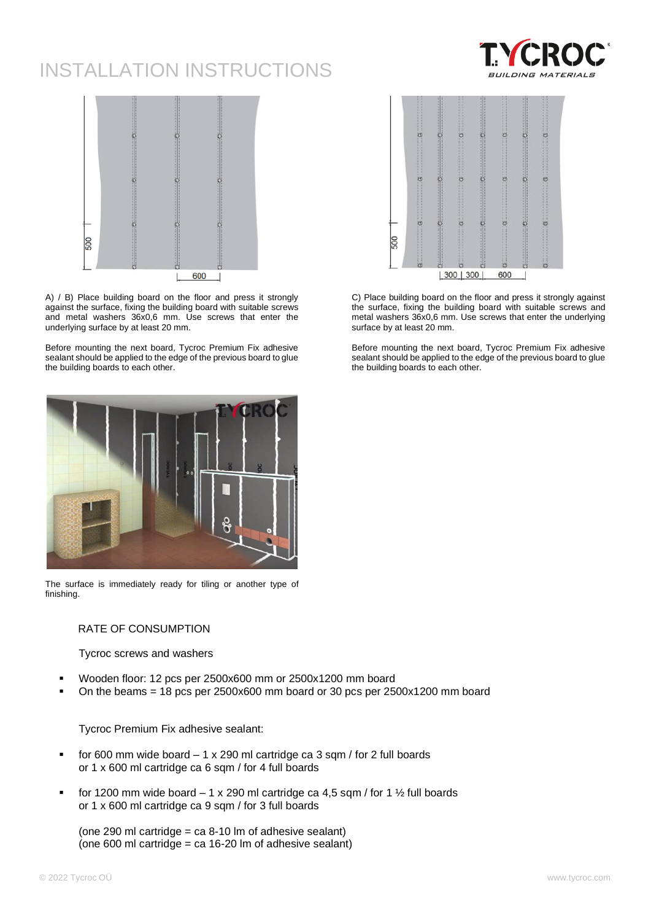



A) / B) Place building board on the floor and press it strongly against the surface, fixing the building board with suitable screws and metal washers 36x0,6 mm. Use screws that enter the underlying surface by at least 20 mm.

Before mounting the next board, Tycroc Premium Fix adhesive sealant should be applied to the edge of the previous board to glue the building boards to each other.



The surface is immediately ready for tiling or another type of finishing.

#### RATE OF CONSUMPTION

Tycroc screws and washers

- Wooden floor: 12 pcs per 2500x600 mm or 2500x1200 mm board
- On the beams =  $18$  pcs per 2500x600 mm board or 30 pcs per 2500x1200 mm board

Tycroc Premium Fix adhesive sealant:

- for 600 mm wide board  $-1 \times 290$  ml cartridge ca 3 sqm / for 2 full boards or 1 x 600 ml cartridge ca 6 sqm / for 4 full boards
- for 1200 mm wide board  $-1 \times 290$  ml cartridge ca 4,5 sqm / for 1  $\frac{1}{2}$  full boards or 1 x 600 ml cartridge ca 9 sqm / for 3 full boards

(one 290 ml cartridge = ca  $8-10$  lm of adhesive sealant) (one 600 ml cartridge =  $ca 16-20$  lm of adhesive sealant)



C) Place building board on the floor and press it strongly against the surface, fixing the building board with suitable screws and metal washers 36x0,6 mm. Use screws that enter the underlying surface by at least 20 mm.

Before mounting the next board, Tycroc Premium Fix adhesive sealant should be applied to the edge of the previous board to glue the building boards to each other.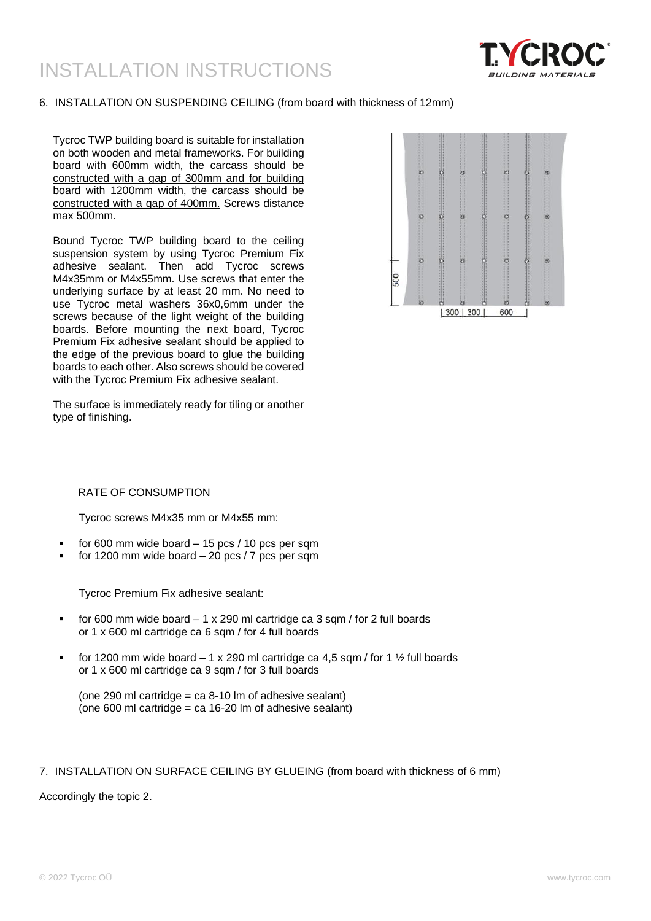

### 6. INSTALLATION ON SUSPENDING CEILING (from board with thickness of 12mm)

Tycroc TWP building board is suitable for installation on both wooden and metal frameworks. For building board with 600mm width, the carcass should be constructed with a gap of 300mm and for building board with 1200mm width, the carcass should be constructed with a gap of 400mm. Screws distance max 500mm.

Bound Tycroc TWP building board to the ceiling suspension system by using Tycroc Premium Fix adhesive sealant. Then add Tycroc screws M4x35mm or M4x55mm. Use screws that enter the underlying surface by at least 20 mm. No need to use Tycroc metal washers 36x0,6mm under the screws because of the light weight of the building boards. Before mounting the next board, Tycroc Premium Fix adhesive sealant should be applied to the edge of the previous board to glue the building boards to each other. Also screws should be covered with the Tycroc Premium Fix adhesive sealant.

The surface is immediately ready for tiling or another type of finishing.



### RATE OF CONSUMPTION

Tycroc screws M4x35 mm or M4x55 mm:

- for 600 mm wide board  $-$  15 pcs / 10 pcs per sqm
- for 1200 mm wide board  $-$  20 pcs / 7 pcs per sqm

Tycroc Premium Fix adhesive sealant:

- for 600 mm wide board  $-1 \times 290$  ml cartridge ca 3 sqm / for 2 full boards or 1 x 600 ml cartridge ca 6 sqm / for 4 full boards
- for 1200 mm wide board  $-1 \times 290$  ml cartridge ca 4.5 sqm / for 1  $\frac{1}{2}$  full boards or 1 x 600 ml cartridge ca 9 sqm / for 3 full boards

### 7. INSTALLATION ON SURFACE CEILING BY GLUEING (from board with thickness of 6 mm)

Accordingly the topic 2.

<sup>(</sup>one 290 ml cartridge =  $ca 8-10$  lm of adhesive sealant) (one 600 ml cartridge = ca 16-20 lm of adhesive sealant)